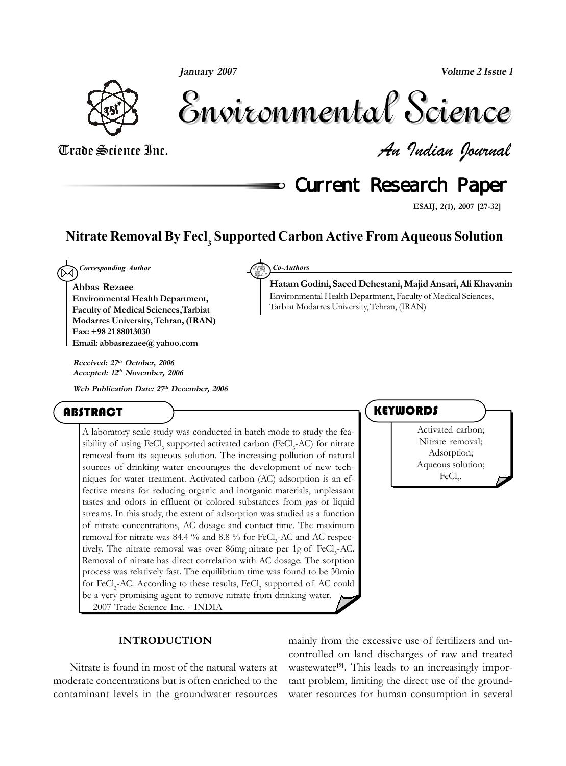**January 2007**

**Volume 2 Issue 1**



Environmental Science Environmental Science

Tarbiat Modarres University, Tehran, (IRAN)

Trade Science Inc. *An Indian Journal*

**Current Research Paper** 

**Hatam Godini, Saeed Dehestani, Majid Ansari, Ali Khavanin** Environmental Health Department, Faculty of Medical Sciences,

**ESAIJ, 2(1), 2007 [27-32]**

## **Nitrate Removal By Fecl3 Supported Carbon Active From Aqueous Solution**

 $\boxtimes$ *Corresponding Author Co-Authors*

**Abbas Rezaee Environmental Health Department, Faculty of Medical Sciences,Tarbiat Modarres University, Tehran, (IRAN) Fax: +98 21 88013030 Email: abbasrezaee@ yahoo.com**

**Received: 27th October, 2006 Accepted: 12th November, 2006**

**Web Publication Date: 27th December, 2006**

### ABSTRACT

A laboratory scale study was conducted in batch mode to study the feasibility of using FeCl<sub>3</sub> supported activated carbon (FeCl<sub>3</sub>-AC) for nitrate removal from its aqueous solution. The increasing pollution of natural sources of drinking water encourages the development of new techniques for water treatment. Activated carbon (AC) adsorption is an effective means for reducing organic and inorganic materials, unpleasant tastes and odors in effluent or colored substances from gas or liquid streams. In this study, the extent of adsorption was studied as a function of nitrate concentrations, AC dosage and contact time. The maximum removal for nitrate was 84.4 % and 8.8 % for  $\text{FeCl}_{3}$ -AC and AC respectively. The nitrate removal was over 86mg nitrate per 1g of FeCl<sub>3</sub>-AC. Removal of nitrate has direct correlation with AC dosage. The sorption process was relatively fast. The equilibrium time was found to be 30min for FeCl<sub>3</sub>-AC. According to these results, FeCl<sub>3</sub> supported of AC could be a very promising agent to remove nitrate from drinking water. 2007 Trade Science Inc. - INDIA

### **KEYWORDS**

Activated carbon; Nitrate removal; Adsorption; Aqueous solution;  $FeCl<sub>3</sub>$ .

#### **INTRODUCTION**

Nitrate is found in most of the natural waters at moderate concentrations but is often enriched to the contaminant levels in the groundwater resources

mainly from the excessive use of fertilizers and uncontrolled on land discharges of raw and treated wastewater<sup>[9]</sup>. This leads to an increasingly important problem, limiting the direct use of the groundwater resources for human consumption in several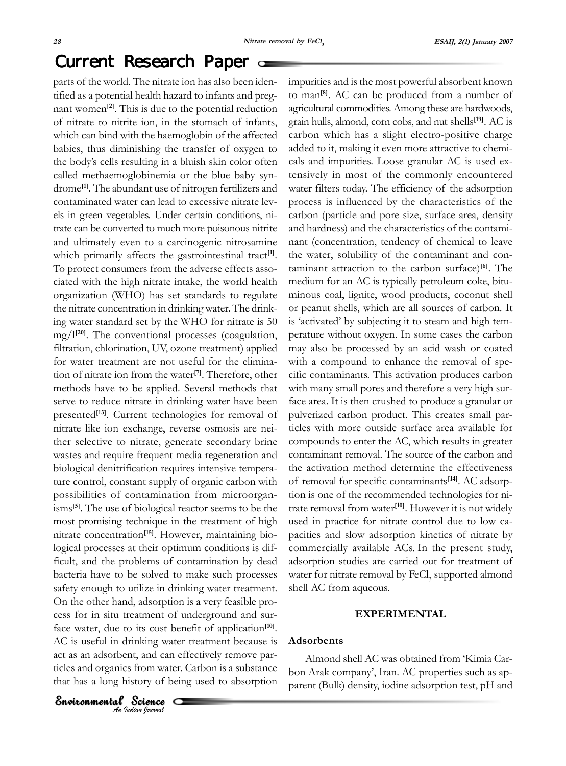## Current Research Paper

parts of the world. The nitrate ion has also been identified as a potential health hazard to infants and pregnant women**[2]**. This is due to the potential reduction of nitrate to nitrite ion, in the stomach of infants, which can bind with the haemoglobin of the affected babies, thus diminishing the transfer of oxygen to the body's cells resulting in a bluish skin color often called methaemoglobinemia or the blue baby syndrome**[1]**. The abundant use of nitrogen fertilizers and contaminated water can lead to excessive nitrate levels in green vegetables. Under certain conditions, nitrate can be converted to much more poisonous nitrite and ultimately even to a carcinogenic nitrosamine which primarily affects the gastrointestinal tract<sup>[1]</sup>. To protect consumers from the adverse effects associated with the high nitrate intake, the world health organization (WHO) has set standards to regulate the nitrate concentration in drinking water. The drinking water standard set by the WHO for nitrate is 50 mg/l**[20]**. The conventional processes (coagulation, filtration, chlorination, UV, ozone treatment) applied for water treatment are not useful for the elimination of nitrate ion from the water**[7]**. Therefore, other methods have to be applied. Several methods that serve to reduce nitrate in drinking water have been presented**[13]**. Current technologies for removal of nitrate like ion exchange, reverse osmosis are neither selective to nitrate, generate secondary brine wastes and require frequent media regeneration and biological denitrification requires intensive temperature control, constant supply of organic carbon with possibilities of contamination from microorganisms**[5]**. The use of biological reactor seems to be the most promising technique in the treatment of high nitrate concentration**[15]**. However, maintaining biological processes at their optimum conditions is difficult, and the problems of contamination by dead bacteria have to be solved to make such processes safety enough to utilize in drinking water treatment. On the other hand, adsorption is a very feasible process for in situ treatment of underground and surface water, due to its cost benefit of application**[10]**. AC is useful in drinking water treatment because is act as an adsorbent, and can effectively remove particles and organics from water. Carbon is a substance that has a long history of being used to absorption

impurities and is the most powerful absorbent known to man**[8]**. AC can be produced from a number of agricultural commodities. Among these are hardwoods, grain hulls, almond, corn cobs, and nut shells**[19]**. AC is carbon which has a slight electro-positive charge added to it, making it even more attractive to chemicals and impurities. Loose granular AC is used extensively in most of the commonly encountered water filters today. The efficiency of the adsorption process is influenced by the characteristics of the carbon (particle and pore size, surface area, density and hardness) and the characteristics of the contaminant (concentration, tendency of chemical to leave the water, solubility of the contaminant and contaminant attraction to the carbon surface)**[6]**. The medium for an AC is typically petroleum coke, bituminous coal, lignite, wood products, coconut shell or peanut shells, which are all sources of carbon. It is 'activated' by subjecting it to steam and high temperature without oxygen. In some cases the carbon may also be processed by an acid wash or coated with a compound to enhance the removal of specific contaminants. This activation produces carbon with many small pores and therefore a very high surface area. It is then crushed to produce a granular or pulverized carbon product. This creates small particles with more outside surface area available for compounds to enter the AC, which results in greater contaminant removal. The source of the carbon and the activation method determine the effectiveness of removal for specific contaminants**[14]**. AC adsorption is one of the recommended technologies for nitrate removal from water**[10]**. However it is not widely used in practice for nitrate control due to low capacities and slow adsorption kinetics of nitrate by commercially available ACs. In the present study, adsorption studies are carried out for treatment of water for nitrate removal by  $\mathrm{FeCl}_3$  supported almond shell AC from aqueous.

#### **EXPERIMENTAL**

#### **Adsorbents**

Almond shell AC was obtained from 'Kimia Carbon Arak company', Iran. AC properties such as apparent (Bulk) density, iodine adsorption test, pH and

**Environmental Science**<br>An Indian Journal

 $\Omega$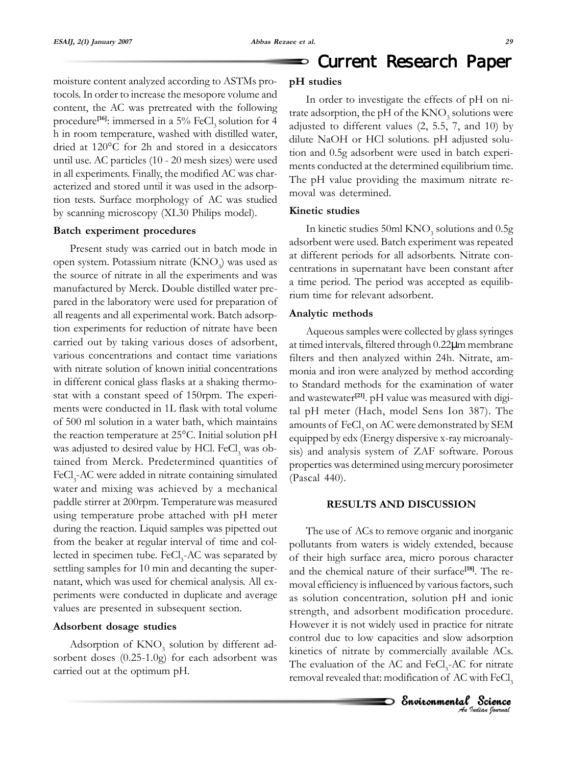moisture content analyzed according to ASTMs protocols. In order to increase the mesopore volume and content, the AC was pretreated with the following procedure<sup>[16]</sup>: immersed in a 5% FeCl<sub>3</sub> solution for 4 h in room temperature, washed with distilled water, dried at 120°C for 2h and stored in a desiccators until use. AC particles (10 - 20 mesh sizes) were used in all experiments. Finally, the modified AC was characterized and stored until it was used in the adsorption tests. Surface morphology of AC was studied by scanning microscopy (XL30 Philips model).

#### **Batch experiment procedures**

Present study was carried out in batch mode in open system. Potassium nitrate (KNO<sub>3</sub>) was used as the source of nitrate in all the experiments and was manufactured by Merck. Double distilled water prepared in the laboratory were used for preparation of all reagents and all experimental work. Batch adsorption experiments for reduction of nitrate have been carried out by taking various doses of adsorbent, various concentrations and contact time variations with nitrate solution of known initial concentrations in different conical glass flasks at a shaking thermostat with a constant speed of 150rpm. The experiments were conducted in 1L flask with total volume of 500 ml solution in a water bath, which maintains the reaction temperature at 25°C. Initial solution pH was adjusted to desired value by HCl.  $\text{FeCl}_3$  was obtained from Merck. Predetermined quantities of FeCl<sub>3</sub>-AC were added in nitrate containing simulated water and mixing was achieved by a mechanical paddle stirrer at 200rpm. Temperaturewas measured using temperature probe attached with pH meter during the reaction. Liquid samples was pipetted out from the beaker at regular interval of time and collected in specimen tube. FeCl<sub>3</sub>-AC was separated by settling samples for 10 min and decanting the supernatant, which was used for chemical analysis. All experiments were conducted in duplicate and average values are presented in subsequent section.

#### **Adsorbent dosage studies**

Adsorption of  $\text{KNO}_3^{\text{}}$  solution by different adsorbent doses (0.25-1.0g) for each adsorbent was carried out at the optimum pH.

#### **pH studies**

In order to investigate the effects of pH on nitrate adsorption, the pH of the  $\mathrm{KNO}_3^{}$  solutions were adjusted to different values (2, 5.5, 7, and 10) by dilute NaOH or HCl solutions. pH adjusted solution and 0.5g adsorbent were used in batch experiments conducted at the determined equilibrium time. The pH value providing the maximum nitrate removal was determined.

#### **Kinetic studies**

In kinetic studies 50ml  $\rm{KNO}_3$  solutions and 0.5g adsorbent were used. Batch experiment was repeated at different periods for all adsorbents. Nitrate concentrations in supernatant have been constant after a time period. The period was accepted as equilibrium time for relevant adsorbent.

#### **Analytic methods**

Aqueous samples were collected by glass syringes at timed intervals, filtered through 0.22µm membrane filters and then analyzed within 24h. Nitrate, ammonia and iron were analyzed by method according to Standard methods for the examination of water and wastewater**[21]**. pH value was measured with digital pH meter (Hach, model Sens Ion 387). The amounts of  $\rm FeCl_{3}$  on AC were demonstrated by SEM equipped by edx (Energy dispersive x-ray microanalysis) and analysis system of ZAF software. Porous properties was determined using mercury porosimeter (Pascal 440).

#### **RESULTS AND DISCUSSION**

The use of ACs to remove organic and inorganic pollutants from waters is widely extended, because of their high surface area, micro porous character and the chemical nature of their surface**[18]**. The removal efficiency is influenced by various factors, such as solution concentration, solution pH and ionic strength, and adsorbent modification procedure. However it is not widely used in practice for nitrate control due to low capacities and slow adsorption kinetics of nitrate by commercially available ACs. The evaluation of the AC and  $FeCl<sub>3</sub>$ -AC for nitrate removal revealed that: modification of AC with FeCl<sub>3</sub>

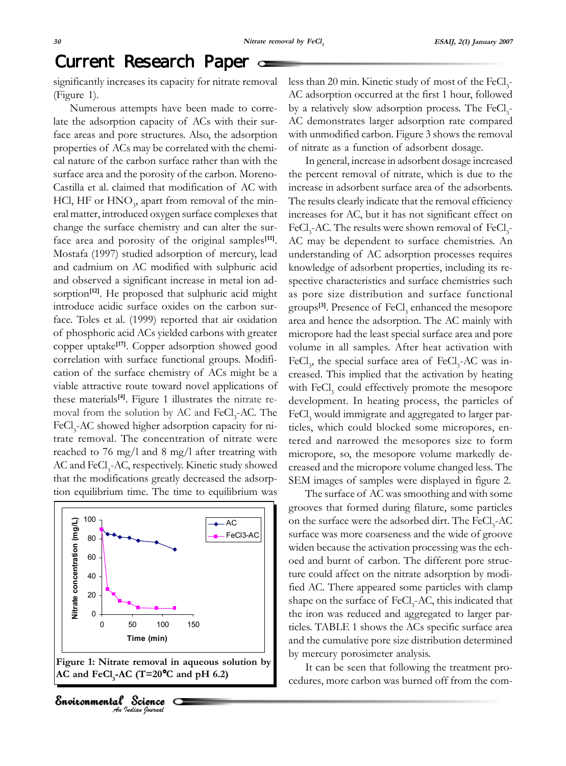# Current Research Paper

significantly increases its capacity for nitrate removal (Figure 1).

Numerous attempts have been made to correlate the adsorption capacity of ACs with their surface areas and pore structures. Also, the adsorption properties of ACs may be correlated with the chemical nature of the carbon surface rather than with the surface area and the porosity of the carbon. Moreno-Castilla et al. claimed that modification of AC with HCl, HF or  $\mathrm{HNO}_3^{}$ , apart from removal of the mineral matter, introduced oxygen surface complexes that change the surface chemistry and can alter the surface area and porosity of the original samples**[11]**. Mostafa (1997) studied adsorption of mercury, lead and cadmium on AC modified with sulphuric acid and observed a significant increase in metal ion adsorption<sup>[12]</sup>. He proposed that sulphuric acid might introduce acidic surface oxides on the carbon surface. Toles et al. (1999) reported that air oxidation of phosphoric acid ACs yielded carbons with greater copper uptake**[17]**. Copper adsorption showed good correlation with surface functional groups. Modification of the surface chemistry of ACs might be a viable attractive route toward novel applications of these materials**[4]**. Figure 1 illustrates the nitrate removal from the solution by AC and FeCl<sub>3</sub>-AC. The FeCl<sub>3</sub>-AC showed higher adsorption capacity for nitrate removal. The concentration of nitrate were reached to 76 mg/l and 8 mg/l after treatring with AC and FeCl<sub>3</sub>-AC, respectively. Kinetic study showed that the modifications greatly decreased the adsorption equilibrium time. The time to equilibrium was



less than 20 min. Kinetic study of most of the  $\text{FeCl}_{3}$ -AC adsorption occurred at the first 1 hour, followed by a relatively slow adsorption process. The FeCl<sub>3</sub>-AC demonstrates larger adsorption rate compared with unmodified carbon. Figure 3 shows the removal of nitrate as a function of adsorbent dosage.

In general, increase in adsorbent dosage increased the percent removal of nitrate, which is due to the increase in adsorbent surface area of the adsorbents. The results clearly indicate that the removal efficiency increases for AC, but it has not significant effect on FeCl<sub>3</sub>-AC. The results were shown removal of FeCl<sub>3</sub>-AC may be dependent to surface chemistries. An understanding of AC adsorption processes requires knowledge of adsorbent properties, including its respective characteristics and surface chemistries such as pore size distribution and surface functional groups<sup>[3]</sup>. Presence of FeCl<sub>3</sub> enhanced the mesopore area and hence the adsorption. The AC mainly with micropore had the least special surface area and pore volume in all samples. After heat activation with FeCl<sub>3</sub>, the special surface area of FeCl<sub>3</sub>-AC was increased. This implied that the activation by heating with FeCl<sub>3</sub> could effectively promote the mesopore development. In heating process, the particles of FeCl<sub>3</sub> would immigrate and aggregated to larger particles, which could blocked some micropores, entered and narrowed the mesopores size to form micropore, so, the mesopore volume markedly decreased and the micropore volume changed less. The SEM images of samples were displayed in figure 2.

The surface of AC was smoothing and with some grooves that formed during filature, some particles on the surface were the adsorbed dirt. The  $\rm FeCl_{\textit{3}}\textit{-AC}$ surface was more coarseness and the wide of groove widen because the activation processing was the echoed and burnt of carbon. The different pore structure could affect on the nitrate adsorption by modified AC. There appeared some particles with clamp shape on the surface of FeCl<sub>3</sub>-AC, this indicated that the iron was reduced and aggregated to larger particles. TABLE 1 shows the ACs specific surface area and the cumulative pore size distribution determined by mercury porosimeter analysis.

It can be seen that following the treatment procedures, more carbon was burned off from the com-

**Environmental Science**<br>An Indian Journal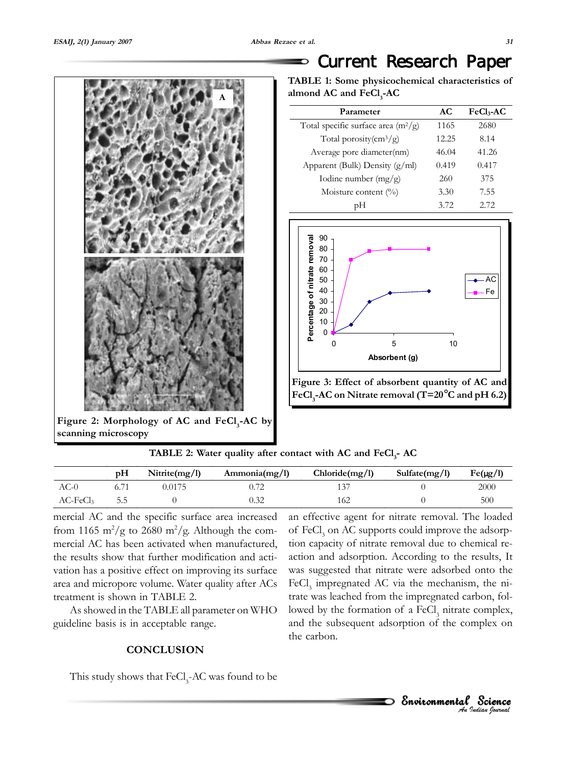

Figure 2: Morphology of AC and FeCl<sub>3</sub>-AC by **scanning microscopy**

# Current Research Paper

| TABLE 1: Some physicochemical characteristics of |  |
|--------------------------------------------------|--|
| almond AC and FeCl <sub>3</sub> -AC              |  |

| Parameter                                    | AC    | $FeCl3-AC$ |
|----------------------------------------------|-------|------------|
| Total specific surface area $(m^2/g)$        | 1165  | 2680       |
| Total porosity $\left(\frac{cm^3}{g}\right)$ | 12.25 | 8.14       |
| Average pore diameter(nm)                    | 46.04 | 41.26      |
| Apparent (Bulk) Density (g/ml)               | 0.419 | 0.417      |
| Iodine number $(mg/g)$                       | 260   | 375        |
| Moisture content $(\%)$                      | 3.30  | 7.55       |
|                                              | 3.72  | 2.72       |



**TABLE 2: Water quality after contact with AC and FeCl<sub>3</sub>- AC** 

|                   | pН  | Nitrite $(mg/l)$ | Ammonia(mg/l) | Chloride(mg/l) | Sulfate $(mg/l)$ | $Fe(\mu g/l)$ |
|-------------------|-----|------------------|---------------|----------------|------------------|---------------|
| AC-0              |     | 0.0175           |               |                |                  | 2000          |
| $AC\text{-}FeCl3$ | 5.5 |                  |               | 162            |                  | 500           |

mercial AC and the specific surface area increased from 1165 m<sup>2</sup>/g to 2680 m<sup>2</sup>/g. Although the commercial AC has been activated when manufactured, the results show that further modification and activation has a positive effect on improving its surface area and micropore volume. Water quality after ACs treatment is shown in TABLE 2.

As showed in the TABLE all parameter on WHO guideline basis is in acceptable range.

#### **CONCLUSION**

This study shows that  $\text{FeCl}_3\text{-}\text{AC}$  was found to be

an effective agent for nitrate removal. The loaded of FeCl<sub>3</sub> on AC supports could improve the adsorption capacity of nitrate removal due to chemical reaction and adsorption. According to the results, It was suggested that nitrate were adsorbed onto the FeCl<sub>3</sub> impregnated AC via the mechanism, the nitrate was leached from the impregnated carbon, followed by the formation of a FeCl<sub>3</sub> nitrate complex, and the subsequent adsorption of the complex on the carbon.